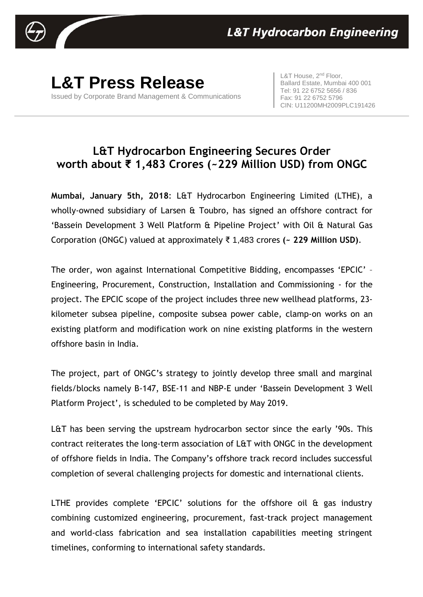

**L&T Press Release** Issued by Corporate Brand Management & Communications

L&T House, 2<sup>nd</sup> Floor, Ballard Estate, Mumbai 400 001 Tel: 91 22 6752 5656 / 836 Fax: 91 22 6752 5796 CIN: U11200MH2009PLC191426

## **L&T Hydrocarbon Engineering Secures Order worth about ₹ 1,483 Crores (~229 Million USD) from ONGC**

**Mumbai, January 5th, 2018**: L&T Hydrocarbon Engineering Limited (LTHE), a wholly-owned subsidiary of Larsen & Toubro, has signed an offshore contract for 'Bassein Development 3 Well Platform & Pipeline Project' with Oil & Natural Gas Corporation (ONGC) valued at approximately ₹ 1,483 crores **(~ 229 Million USD)**.

The order, won against International Competitive Bidding, encompasses 'EPCIC' – Engineering, Procurement, Construction, Installation and Commissioning - for the project. The EPCIC scope of the project includes three new wellhead platforms, 23 kilometer subsea pipeline, composite subsea power cable, clamp-on works on an existing platform and modification work on nine existing platforms in the western offshore basin in India.

The project, part of ONGC's strategy to jointly develop three small and marginal fields/blocks namely B-147, BSE-11 and NBP-E under 'Bassein Development 3 Well Platform Project', is scheduled to be completed by May 2019.

L&T has been serving the upstream hydrocarbon sector since the early '90s. This contract reiterates the long-term association of L&T with ONGC in the development of offshore fields in India. The Company's offshore track record includes successful completion of several challenging projects for domestic and international clients.

LTHE provides complete 'EPCIC' solutions for the offshore oil & gas industry combining customized engineering, procurement, fast-track project management and world-class fabrication and sea installation capabilities meeting stringent timelines, conforming to international safety standards.